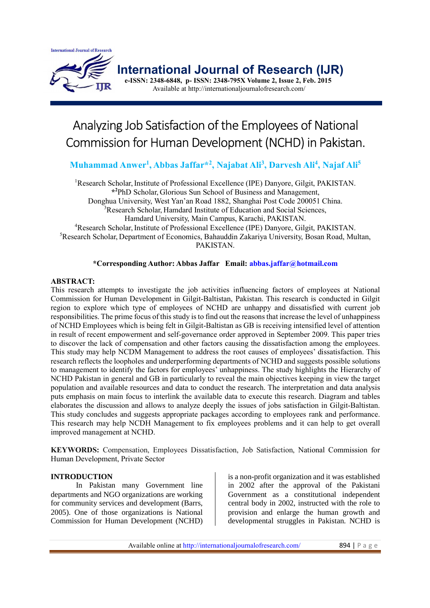

 **International Journal of Research (IJR)**

 **e-ISSN: 2348-6848, p- ISSN: 2348-795X Volume 2, Issue 2, Feb. 2015** Available at http://internationaljournalofresearch.com/

# Analyzing Job Satisfaction of the Employees of National Commission for Human Development (NCHD) in Pakistan.

**Muhammad Anwer<sup>1</sup> , Abbas Jaffar\*<sup>2</sup> , Najabat Ali<sup>3</sup> , Darvesh Ali<sup>4</sup> , Najaf Ali<sup>5</sup>**

<sup>1</sup>Research Scholar, Institute of Professional Excellence (IPE) Danyore, Gilgit, PAKISTAN. **\* <sup>2</sup>**PhD Scholar, Glorious Sun School of Business and Management, Donghua University, West Yan'an Road 1882, Shanghai Post Code 200051 China. <sup>3</sup>Research Scholar, Hamdard Institute of Education and Social Sciences, Hamdard University, Main Campus, Karachi, PAKISTAN. <sup>4</sup>Research Scholar, Institute of Professional Excellence (IPE) Danyore, Gilgit, PAKISTAN. <sup>5</sup>Research Scholar, Department of Economics, Bahauddin Zakariya University, Bosan Road, Multan, PAKISTAN.

## **\*Corresponding Author: Abbas Jaffar Email: abbas.jaffar@hotmail.com**

## **ABSTRACT:**

This research attempts to investigate the job activities influencing factors of employees at National Commission for Human Development in Gilgit-Baltistan, Pakistan. This research is conducted in Gilgit region to explore which type of employees of NCHD are unhappy and dissatisfied with current job responsibilities. The prime focus of this study is to find out the reasons that increase the level of unhappiness of NCHD Employees which is being felt in Gilgit-Baltistan as GB is receiving intensified level of attention in result of recent empowerment and self-governance order approved in September 2009. This paper tries to discover the lack of compensation and other factors causing the dissatisfaction among the employees. This study may help NCDM Management to address the root causes of employees' dissatisfaction. This research reflects the loopholes and underperforming departments of NCHD and suggests possible solutions to management to identify the factors for employees' unhappiness. The study highlights the Hierarchy of NCHD Pakistan in general and GB in particularly to reveal the main objectives keeping in view the target population and available resources and data to conduct the research. The interpretation and data analysis puts emphasis on main focus to interlink the available data to execute this research. Diagram and tables elaborates the discussion and allows to analyze deeply the issues of jobs satisfaction in Gilgit-Baltistan. This study concludes and suggests appropriate packages according to employees rank and performance. This research may help NCDH Management to fix employees problems and it can help to get overall improved management at NCHD.

**KEYWORDS:** Compensation, Employees Dissatisfaction, Job Satisfaction, National Commission for Human Development, Private Sector

## **INTRODUCTION**

In Pakistan many Government line departments and NGO organizations are working for community services and development (Barrs, 2005). One of those organizations is National Commission for Human Development (NCHD)

is a non-profit organization and it was established in 2002 after the approval of the Pakistani Government as a constitutional independent central body in 2002, instructed with the role to provision and enlarge the human growth and developmental struggles in Pakistan. NCHD is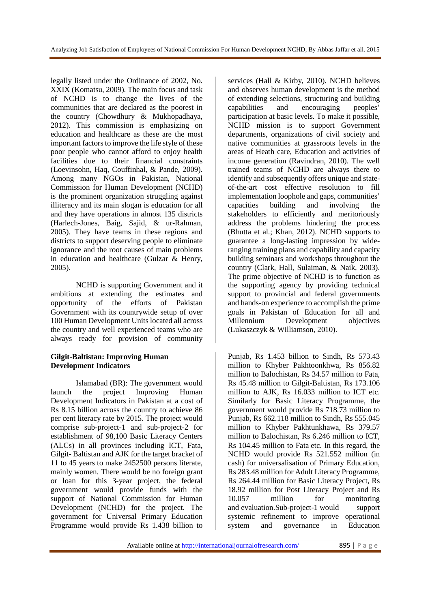legally listed under the Ordinance of 2002, No. XXIX (Komatsu, 2009). The main focus and task of NCHD is to change the lives of the communities that are declared as the poorest in the country (Chowdhury & Mukhopadhaya, 2012). This commission is emphasizing on education and healthcare as these are the most important factors to improve the life style of these poor people who cannot afford to enjoy health facilities due to their financial constraints (Loevinsohn, Haq, Couffinhal, & Pande, 2009). Among many NGOs in Pakistan, National Commission for Human Development (NCHD) is the prominent organization struggling against illiteracy and its main slogan is education for all and they have operations in almost 135 districts (Harlech-Jones, Baig, Sajid, & ur-Rahman, 2005). They have teams in these regions and districts to support deserving people to eliminate ignorance and the root causes of main problems in education and healthcare (Gulzar & Henry, 2005).

NCHD is supporting Government and it ambitions at extending the estimates and opportunity of the efforts of Pakistan Government with its countrywide setup of over 100 Human Development Units located all across the country and well experienced teams who are always ready for provision of community

## **Gilgit-Baltistan: Improving Human Development Indicators**

Islamabad (BR): The government would<br>the project Improving Human launch the project Improving Human Development Indicators in Pakistan at a cost of Rs 8.15 billion across the country to achieve 86 per cent literacy rate by 2015. The project would comprise sub-project-1 and sub-project-2 for establishment of 98,100 Basic Literacy Centers (ALCs) in all provinces including ICT, Fata, Gilgit- Baltistan and AJK for the target bracket of 11 to 45 years to make 2452500 persons literate, mainly women. There would be no foreign grant or loan for this 3-year project, the federal government would provide funds with the support of National Commission for Human Development (NCHD) for the project. The government for Universal Primary Education Programme would provide Rs 1.438 billion to

services (Hall & Kirby, 2010). NCHD believes and observes human development is the method of extending selections, structuring and building capabilities and encouraging peoples' participation at basic levels. To make it possible, NCHD mission is to support Government departments, organizations of civil society and native communities at grassroots levels in the areas of Heath care, Education and activities of income generation (Ravindran, 2010). The well trained teams of NCHD are always there to identify and subsequently offers unique and stateof-the-art cost effective resolution to fill implementation loophole and gaps, communities' capacities building and involving the stakeholders to efficiently and meritoriously address the problems hindering the process (Bhutta et al.; Khan, 2012). NCHD supports to guarantee a long-lasting impression by wideranging training plans and capability and capacity building seminars and workshops throughout the country (Clark, Hall, Sulaiman, & Naik, 2003). The prime objective of NCHD is to function as the supporting agency by providing technical support to provincial and federal governments and hands-on experience to accomplish the prime goals in Pakistan of Education for all and Millennium Development objectives (Lukaszczyk & Williamson, 2010).

Punjab, Rs 1.453 billion to Sindh, Rs 573.43 million to Khyber Pakhtoonkhwa, Rs 856.82 million to Balochistan, Rs 34.57 million to Fata, Rs 45.48 million to Gilgit-Baltistan, Rs 173.106 million to AJK, Rs 16.033 million to ICT etc. Similarly for Basic Literacy Programme, the government would provide Rs 718.73 million to Punjab, Rs 662.118 million to Sindh, Rs 555.045 million to Khyber Pakhtunkhawa, Rs 379.57 million to Balochistan, Rs 6.246 million to ICT, Rs 104.45 million to Fata etc. In this regard, the NCHD would provide Rs 521.552 million (in cash) for universalisation of Primary Education, Rs 283.48 million for Adult Literacy Programme, Rs 264.44 million for Basic Literacy Project, Rs 18.92 million for Post Literacy Project and Rs 10.057 million for monitoring and evaluation.Sub-project-1 would support systemic refinement to improve operational system and governance in Education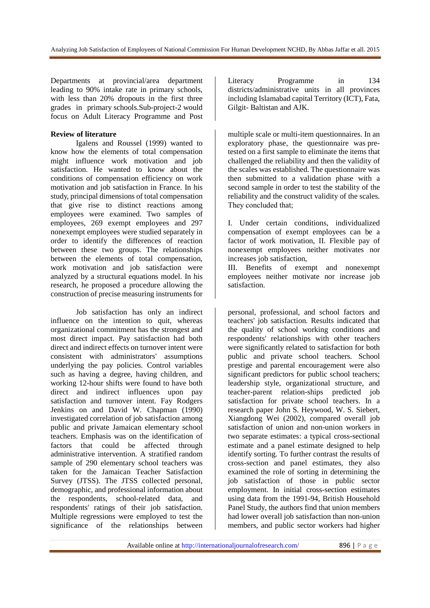Departments at provincial/area department leading to 90% intake rate in primary schools, with less than 20% dropouts in the first three grades in primary schools.Sub-project-2 would focus on Adult Literacy Programme and Post

## **Review of literature**

Igalens and Roussel (1999) wanted to know how the elements of total compensation might influence work motivation and job satisfaction. He wanted to know about the conditions of compensation efficiency on work motivation and job satisfaction in France. In his study, principal dimensions of total compensation that give rise to distinct reactions among employees were examined. Two samples of employees, 269 exempt employees and 297 nonexempt employees were studied separately in order to identify the differences of reaction between these two groups. The relationships between the elements of total compensation, work motivation and job satisfaction were analyzed by a structural equations model. In his research, he proposed a procedure allowing the construction of precise measuring instruments for

Job satisfaction has only an indirect influence on the intention to quit, whereas organizational commitment has the strongest and most direct impact. Pay satisfaction had both direct and indirect effects on turnover intent were consistent with administrators' assumptions underlying the pay policies. Control variables such as having a degree, having children, and working 12-hour shifts were found to have both direct and indirect influences upon pay satisfaction and turnover intent. Fay Rodgers Jenkins on and David W. Chapman (1990) investigated correlation of job satisfaction among public and private Jamaican elementary school teachers. Emphasis was on the identification of factors that could be affected through administrative intervention. A stratified random sample of 290 elementary school teachers was taken for the Jamaican Teacher Satisfaction Survey (JTSS). The JTSS collected personal, demographic, and professional information about the respondents, school-related data, and respondents' ratings of their job satisfaction. Multiple regressions were employed to test the significance of the relationships between

Literacy Programme in 134 districts/administrative units in all provinces including Islamabad capital Territory (ICT), Fata, Gilgit- Baltistan and AJK.

multiple scale or multi-item questionnaires. In an exploratory phase, the questionnaire was pretested on a first sample to eliminate the items that challenged the reliability and then the validity of the scales was established. The questionnaire was then submitted to a validation phase with a second sample in order to test the stability of the reliability and the construct validity of the scales. They concluded that;

I. Under certain conditions, individualized compensation of exempt employees can be a factor of work motivation, II. Flexible pay of nonexempt employees neither motivates nor increases job satisfaction,

III. Benefits of exempt and nonexempt employees neither motivate nor increase job satisfaction.

personal, professional, and school factors and teachers' job satisfaction. Results indicated that the quality of school working conditions and respondents' relationships with other teachers were significantly related to satisfaction for both public and private school teachers. School prestige and parental encouragement were also significant predictors for public school teachers; leadership style, organizational structure, and teacher-parent relation-ships predicted job satisfaction for private school teachers. In a research paper John S. Heywood, W. S. Siebert, Xiangdong Wei (2002), compared overall job satisfaction of union and non-union workers in two separate estimates: a typical cross-sectional estimate and a panel estimate designed to help identify sorting. To further contrast the results of cross-section and panel estimates, they also examined the role of sorting in determining the job satisfaction of those in public sector employment. In initial cross-section estimates using data from the 1991-94, British Household Panel Study, the authors find that union members had lower overall job satisfaction than non-union members, and public sector workers had higher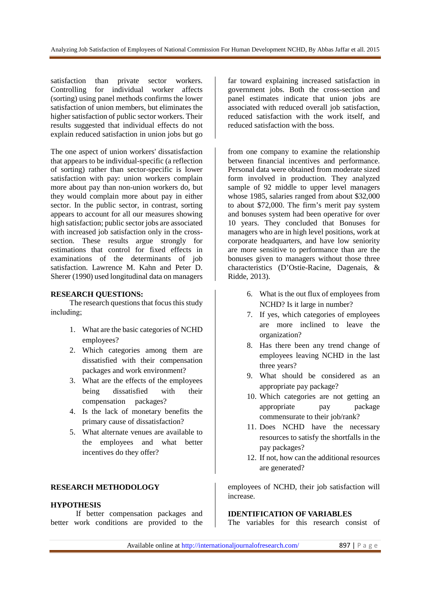satisfaction than private sector workers. Controlling for individual worker affects (sorting) using panel methods confirms the lower satisfaction of union members, but eliminates the higher satisfaction of public sector workers. Their results suggested that individual effects do not explain reduced satisfaction in union jobs but go

The one aspect of union workers' dissatisfaction that appears to be individual-specific (a reflection of sorting) rather than sector-specific is lower satisfaction with pay: union workers complain more about pay than non-union workers do, but they would complain more about pay in either sector. In the public sector, in contrast, sorting appears to account for all our measures showing high satisfaction; public sector jobs are associated with increased job satisfaction only in the crosssection. These results argue strongly for estimations that control for fixed effects in examinations of the determinants of job satisfaction. Lawrence M. Kahn and Peter D. Sherer (1990) used longitudinal data on managers

#### **RESEARCH QUESTIONS:**

The research questions that focus this study including;

- 1. What are the basic categories of NCHD employees?
- 2. Which categories among them are dissatisfied with their compensation packages and work environment?
- 3. What are the effects of the employees being dissatisfied with their compensation packages?
- 4. Is the lack of monetary benefits the primary cause of dissatisfaction?
- 5. What alternate venues are available to the employees and what better incentives do they offer?

## **RESEARCH METHODOLOGY**

#### **HYPOTHESIS**

If better compensation packages and better work conditions are provided to the

far toward explaining increased satisfaction in government jobs. Both the cross-section and panel estimates indicate that union jobs are associated with reduced overall job satisfaction, reduced satisfaction with the work itself, and reduced satisfaction with the boss.

from one company to examine the relationship between financial incentives and performance. Personal data were obtained from moderate sized form involved in production. They analyzed sample of 92 middle to upper level managers whose 1985, salaries ranged from about \$32,000 to about \$72,000. The firm's merit pay system and bonuses system had been operative for over 10 years. They concluded that Bonuses for managers who are in high level positions, work at corporate headquarters, and have low seniority are more sensitive to performance than are the bonuses given to managers without those three characteristics (D'Ostie-Racine, Dagenais, & Ridde, 2013).

- 6. What is the out flux of employees from NCHD? Is it large in number?
- 7. If yes, which categories of employees are more inclined to leave the organization?
- 8. Has there been any trend change of employees leaving NCHD in the last three years?
- 9. What should be considered as an appropriate pay package?
- 10. Which categories are not getting an appropriate pay package commensurate to their job/rank?
- 11. Does NCHD have the necessary resources to satisfy the shortfalls in the pay packages?
- 12. If not, how can the additional resources are generated?

employees of NCHD, their job satisfaction will increase.

#### **IDENTIFICATION OF VARIABLES**

The variables for this research consist of

Available online at http://internationaljournalofresearch.com/ 897 | P a g e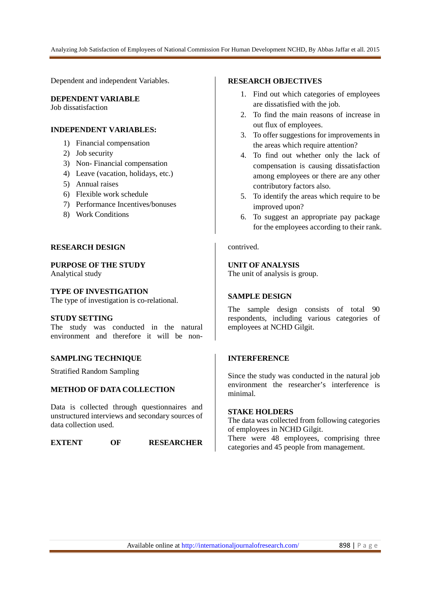Analyzing Job Satisfaction of Employees of National Commission For Human Development NCHD, By Abbas Jaffar et all. 2015

Dependent and independent Variables.

## **DEPENDENT VARIABLE**

Job dissatisfaction

## **INDEPENDENT VARIABLES:**

- 1) Financial compensation
- 2) Job security
- 3) Non- Financial compensation
- 4) Leave (vacation, holidays, etc.)
- 5) Annual raises
- 6) Flexible work schedule
- 7) Performance Incentives/bonuses
- 8) Work Conditions

## **RESEARCH DESIGN**

**PURPOSE OF THE STUDY** 

Analytical study

## **TYPE OF INVESTIGATION**

The type of investigation is co-relational.

#### **STUDY SETTING**

The study was conducted in the natural environment and therefore it will be non-

## **SAMPLING TECHNIQUE**

Stratified Random Sampling

## **METHOD OF DATA COLLECTION**

Data is collected through questionnaires and unstructured interviews and secondary sources of data collection used.

**EXTENT OF RESEARCHER** 

#### **RESEARCH OBJECTIVES**

- 1. Find out which categories of employees are dissatisfied with the job.
- 2. To find the main reasons of increase in out flux of employees.
- 3. To offer suggestions for improvements in the areas which require attention?
- 4. To find out whether only the lack of compensation is causing dissatisfaction among employees or there are any other contributory factors also.
- 5. To identify the areas which require to be improved upon?
- 6. To suggest an appropriate pay package for the employees according to their rank.

#### contrived.

## **UNIT OF ANALYSIS**

The unit of analysis is group.

## **SAMPLE DESIGN**

The sample design consists of total 90 respondents, including various categories of employees at NCHD Gilgit.

## **INTERFERENCE**

Since the study was conducted in the natural job environment the researcher's interference is minimal.

#### **STAKE HOLDERS**

The data was collected from following categories of employees in NCHD Gilgit.

There were 48 employees, comprising three categories and 45 people from management.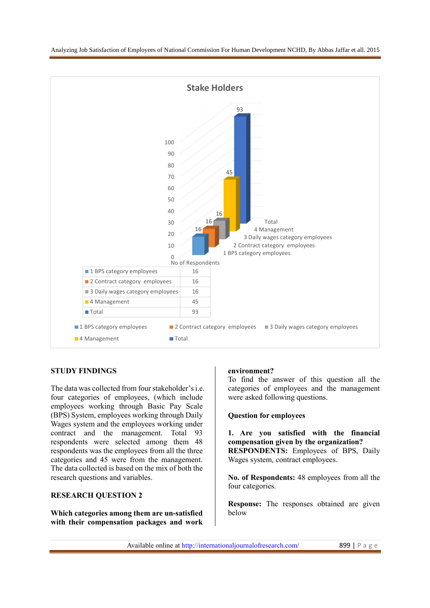

## **STUDY FINDINGS**

The data was collected from four stakeholder's i.e. four categories of employees, (which include employees working through Basic Pay Scale (BPS) System, employees working through Daily Wages system and the employees working under contract and the management. Total 93 respondents were selected among them 48 respondents was the employees from all the three categories and 45 were from the management. The data collected is based on the mix of both the research questions and variables.

## **RESEARCH QUESTION 2**

**Which categories among them are un-satisfied with their compensation packages and work** 

## **environment?**

To find the answer of this question all the categories of employees and the management were asked following questions.

#### **Question for employees**

**1. Are you satisfied with the financial compensation given by the organization? RESPONDENTS:** Employees of BPS, Daily Wages system, contract employees.

**No. of Respondents:** 48 employees from all the four categories.

**Response:** The responses obtained are given below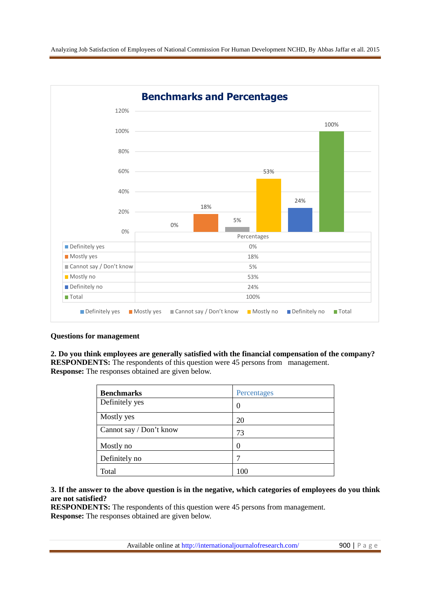

## **Questions for management**

**2. Do you think employees are generally satisfied with the financial compensation of the company? RESPONDENTS:** The respondents of this question were 45 persons from management. **Response:** The responses obtained are given below.

| <b>Benchmarks</b>       | Percentages |
|-------------------------|-------------|
| Definitely yes          | 0           |
| Mostly yes              | 20          |
| Cannot say / Don't know | 73          |
| Mostly no               | 0           |
| Definitely no           |             |
| Total                   | 100         |

## **3. If the answer to the above question is in the negative, which categories of employees do you think are not satisfied?**

**RESPONDENTS:** The respondents of this question were 45 persons from management. **Response:** The responses obtained are given below.

Available online at http://internationaljournalofresearch.com/ 900 | P a g e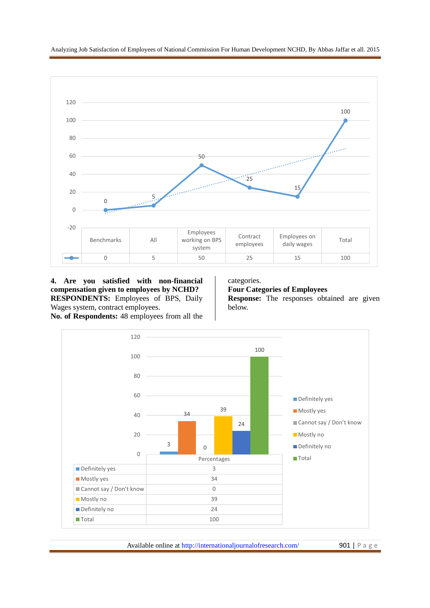Analyzing Job Satisfaction of Employees of National Commission For Human Development NCHD, By Abbas Jaffar et all. 2015 .



**4. Are you satisfied with non-financial compensation given to employees by NCHD? RESPONDENTS:** Employees of BPS, Daily Wages system, contract employees. **No. of Respondents:** 48 employees from all the categories.

**Four Categories of Employees Response:** The responses obtained are given below.



Available online at http://internationaljournalofresearch.com/ 901 | P a g e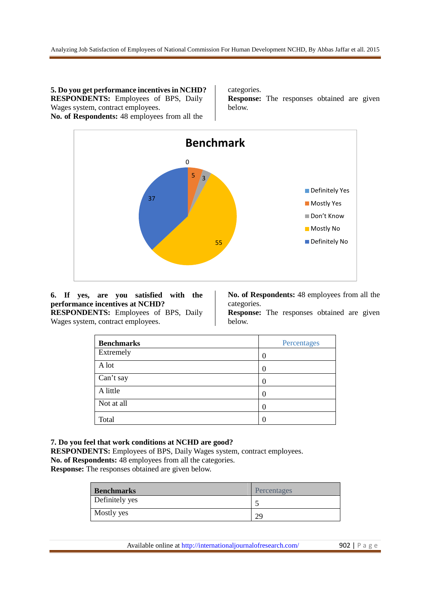**5. Do you get performance incentives in NCHD? RESPONDENTS:** Employees of BPS, Daily Wages system, contract employees.

**No. of Respondents:** 48 employees from all the

categories.

**Response:** The responses obtained are given below.



#### **6. If yes, are you satisfied with the performance incentives at NCHD? RESPONDENTS:** Employees of BPS, Daily

Wages system, contract employees.

**No. of Respondents:** 48 employees from all the categories.

**Response:** The responses obtained are given below.

| <b>Benchmarks</b> | Percentages      |
|-------------------|------------------|
| Extremely         | 0                |
| A lot             | $\left( \right)$ |
| Can't say         | 0                |
| A little          | 0                |
| Not at all        | $\theta$         |
| Total             | 0                |

**7. Do you feel that work conditions at NCHD are good?** 

**RESPONDENTS:** Employees of BPS, Daily Wages system, contract employees.

**No. of Respondents:** 48 employees from all the categories.

**Response:** The responses obtained are given below.

| <b>Benchmarks</b> | Percentages |
|-------------------|-------------|
| Definitely yes    |             |
| Mostly yes        | 29          |

Available online at http://internationaljournalofresearch.com/ 902 | P a g e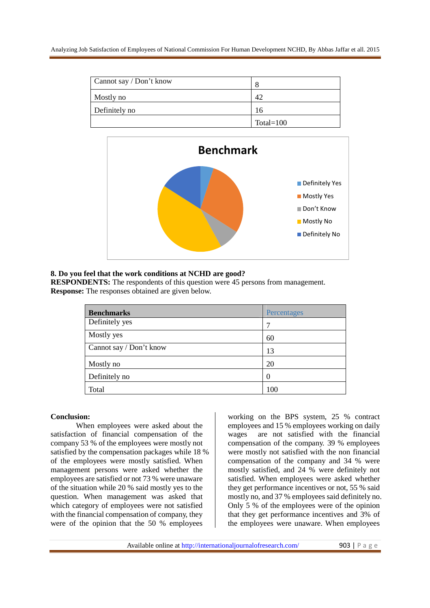| Cannot say / Don't know |              |
|-------------------------|--------------|
| Mostly no               | 42           |
| Definitely no           | 16           |
|                         | Total= $100$ |



## **8. Do you feel that the work conditions at NCHD are good?**

**RESPONDENTS:** The respondents of this question were 45 persons from management. **Response:** The responses obtained are given below.

| <b>Benchmarks</b>       | Percentages |
|-------------------------|-------------|
| Definitely yes          | 7           |
| Mostly yes              | 60          |
| Cannot say / Don't know | 13          |
| Mostly no               | 20          |
| Definitely no           | $\theta$    |
| Total                   | 100         |

## **Conclusion:**

When employees were asked about the satisfaction of financial compensation of the company 53 % of the employees were mostly not satisfied by the compensation packages while 18 % of the employees were mostly satisfied. When management persons were asked whether the employees are satisfied or not 73 % were unaware of the situation while 20 % said mostly yes to the question. When management was asked that which category of employees were not satisfied with the financial compensation of company, they were of the opinion that the 50 % employees

working on the BPS system, 25 % contract employees and 15 % employees working on daily wages are not satisfied with the financial compensation of the company. 39 % employees were mostly not satisfied with the non financial compensation of the company and 34 % were mostly satisfied, and 24 % were definitely not satisfied. When employees were asked whether they get performance incentives or not, 55 % said mostly no, and 37 % employees said definitely no. Only 5 % of the employees were of the opinion that they get performance incentives and 3% of the employees were unaware. When employees

Available online at http://internationaljournalofresearch.com/ 903 | P a g e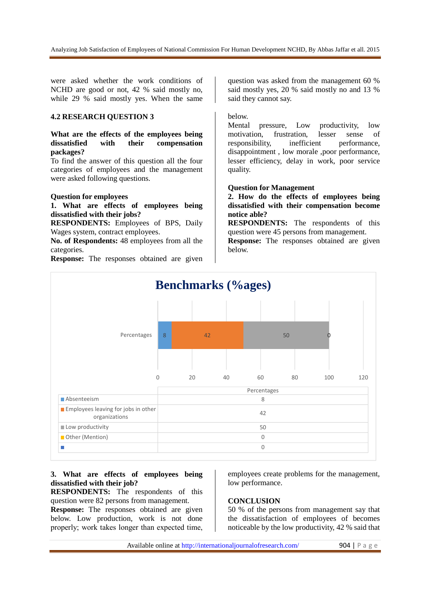were asked whether the work conditions of NCHD are good or not, 42 % said mostly no, while 29 % said mostly yes. When the same

## **4.2 RESEARCH QUESTION 3**

## **What are the effects of the employees being dissatisfied with their compensation packages?**

To find the answer of this question all the four categories of employees and the management were asked following questions.

## **Question for employees**

## **1. What are effects of employees being dissatisfied with their jobs?**

**RESPONDENTS:** Employees of BPS, Daily Wages system, contract employees.

**No. of Respondents:** 48 employees from all the categories.

**Response:** The responses obtained are given

question was asked from the management 60 % said mostly yes, 20 % said mostly no and 13 % said they cannot say.

#### below.

Mental pressure, Low productivity, low motivation, frustration, lesser sense of responsibility, inefficient performance, disappointment , low morale ,poor performance, lesser efficiency, delay in work, poor service quality.

#### **Question for Management**

**2. How do the effects of employees being dissatisfied with their compensation become notice able?** 

**RESPONDENTS:** The respondents of this question were 45 persons from management.

**Response:** The responses obtained are given below.



## **3. What are effects of employees being dissatisfied with their job?**

**RESPONDENTS:** The respondents of this question were 82 persons from management.

**Response:** The responses obtained are given below. Low production, work is not done properly; work takes longer than expected time,

employees create problems for the management, low performance.

## **CONCLUSION**

50 % of the persons from management say that the dissatisfaction of employees of becomes noticeable by the low productivity, 42 % said that

Available online at http://internationaljournalofresearch.com/ 904 | P a g e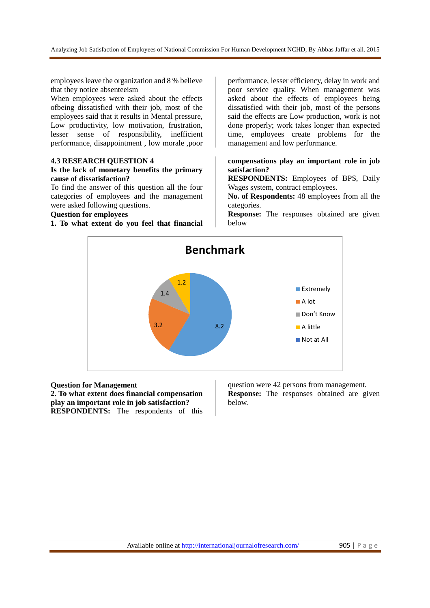employees leave the organization and 8 % believe that they notice absenteeism

When employees were asked about the effects ofbeing dissatisfied with their job, most of the employees said that it results in Mental pressure, Low productivity, low motivation, frustration, lesser sense of responsibility, inefficient performance, disappointment , low morale ,poor

#### **4.3 RESEARCH QUESTION 4**

## **Is the lack of monetary benefits the primary cause of dissatisfaction?**

To find the answer of this question all the four categories of employees and the management were asked following questions.

#### **Question for employees**

**1. To what extent do you feel that financial** 

performance, lesser efficiency, delay in work and poor service quality. When management was asked about the effects of employees being dissatisfied with their job, most of the persons said the effects are Low production, work is not done properly; work takes longer than expected time, employees create problems for the management and low performance.

## **compensations play an important role in job satisfaction?**

**RESPONDENTS:** Employees of BPS, Daily Wages system, contract employees.

**No. of Respondents:** 48 employees from all the categories.

**Response:** The responses obtained are given below



#### **Question for Management**

**2. To what extent does financial compensation play an important role in job satisfaction? RESPONDENTS:** The respondents of this

question were 42 persons from management. **Response:** The responses obtained are given below.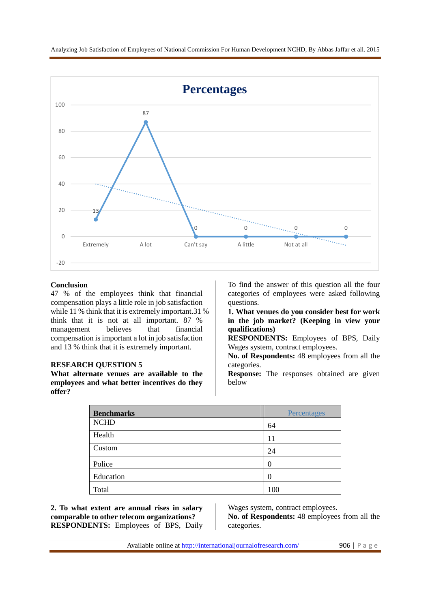

## **Conclusion**

47 % of the employees think that financial compensation plays a little role in job satisfaction while 11 % think that it is extremely important.31 % think that it is not at all important. 87 % management believes that financial compensation is important a lot in job satisfaction and 13 % think that it is extremely important.

#### **RESEARCH QUESTION 5**

**What alternate venues are available to the employees and what better incentives do they offer?** 

To find the answer of this question all the four categories of employees were asked following questions.

**1. What venues do you consider best for work in the job market? (Keeping in view your qualifications)** 

**RESPONDENTS:** Employees of BPS, Daily Wages system, contract employees.

**No. of Respondents:** 48 employees from all the categories.

**Response:** The responses obtained are given below

| <b>Benchmarks</b> | Percentages |
|-------------------|-------------|
| <b>NCHD</b>       | 64          |
| Health            | 11          |
| Custom            | 24          |
| Police            | 0           |
| Education         | 0           |
| Total             | 100         |

**2. To what extent are annual rises in salary comparable to other telecom organizations? RESPONDENTS:** Employees of BPS, Daily Wages system, contract employees.

**No. of Respondents:** 48 employees from all the categories.

Available online at http://internationaljournalofresearch.com/ 906 | P a g e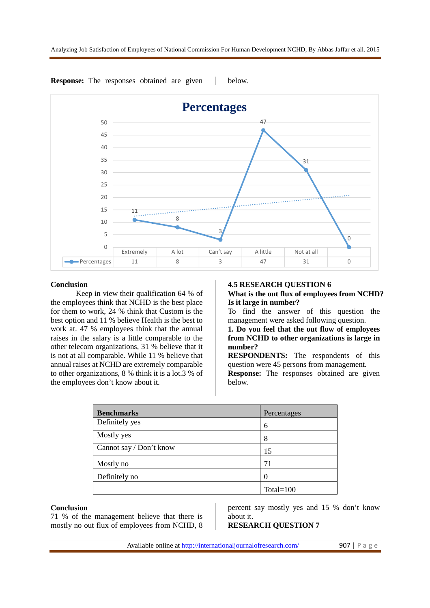

**Response:** The responses obtained are given a below.

#### **Conclusion**

Keep in view their qualification 64 % of the employees think that NCHD is the best place for them to work, 24 % think that Custom is the best option and 11 % believe Health is the best to work at. 47 % employees think that the annual raises in the salary is a little comparable to the other telecom organizations, 31 % believe that it is not at all comparable. While 11 % believe that annual raises at NCHD are extremely comparable to other organizations, 8 % think it is a lot.3 % of the employees don't know about it.

#### **4.5 RESEARCH QUESTION 6**

## **What is the out flux of employees from NCHD? Is it large in number?**

To find the answer of this question the management were asked following question.

**1. Do you feel that the out flow of employees from NCHD to other organizations is large in number?** 

**RESPONDENTS:** The respondents of this question were 45 persons from management. **Response:** The responses obtained are given below.

| <b>Benchmarks</b>       | Percentages  |
|-------------------------|--------------|
| Definitely yes          | 6            |
| Mostly yes              | 8            |
| Cannot say / Don't know | 15           |
| Mostly no               | 71           |
| Definitely no           |              |
|                         | Total= $100$ |

#### **Conclusion**

71 % of the management believe that there is mostly no out flux of employees from NCHD, 8 percent say mostly yes and 15 % don't know about it.

## **RESEARCH QUESTION 7**

Available online at http://internationaljournalofresearch.com/ 907 | P a g e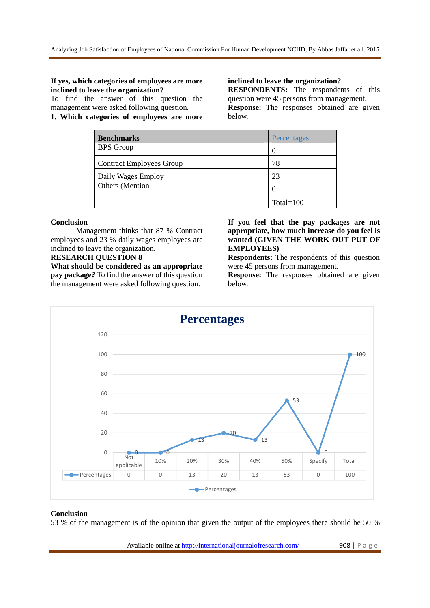## **If yes, which categories of employees are more inclined to leave the organization?**

To find the answer of this question the management were asked following question.

**1. Which categories of employees are more** 

**inclined to leave the organization?** 

**RESPONDENTS:** The respondents of this question were 45 persons from management. **Response:** The responses obtained are given below.

| <b>Benchmarks</b>               | Percentages       |
|---------------------------------|-------------------|
| <b>BPS</b> Group                |                   |
| <b>Contract Employees Group</b> | 78                |
| Daily Wages Employ              | 23                |
| <b>Others</b> (Mention          | $\mathbf{\Omega}$ |
|                                 | Total= $100$      |

## **Conclusion**

Management thinks that 87 % Contract employees and 23 % daily wages employees are inclined to leave the organization.

## **RESEARCH QUESTION 8**

**What should be considered as an appropriate pay package?** To find the answer of this question the management were asked following question.

## **If you feel that the pay packages are not appropriate, how much increase do you feel is wanted (GIVEN THE WORK OUT PUT OF EMPLOYEES)**

**Respondents:** The respondents of this question were 45 persons from management.

**Response:** The responses obtained are given below.



#### **Conclusion**

53 % of the management is of the opinion that given the output of the employees there should be 50 %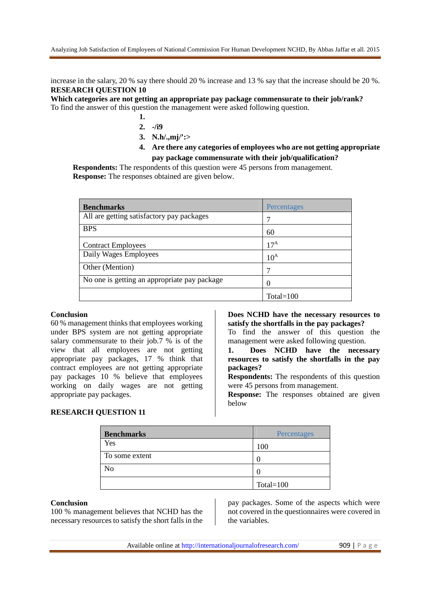increase in the salary, 20 % say there should 20 % increase and 13 % say that the increase should be 20 %. **RESEARCH QUESTION 10** 

**Which categories are not getting an appropriate pay package commensurate to their job/rank?**  To find the answer of this question the management were asked following question.

- **1.**
- **2. -/i9**
- **3. N.h/.,mj/':>**
- **4. Are there any categories of employees who are not getting appropriate pay package commensurate with their job/qualification?**

**Respondents:** The respondents of this question were 45 persons from management. **Response:** The responses obtained are given below.

| <b>Benchmarks</b>                            | Percentages  |
|----------------------------------------------|--------------|
| All are getting satisfactory pay packages    |              |
| <b>BPS</b>                                   | 60           |
| <b>Contract Employees</b>                    | $17^A$       |
| Daily Wages Employees                        | $10^A$       |
| Other (Mention)                              |              |
| No one is getting an appropriate pay package | $\mathbf{0}$ |
|                                              | $Total=100$  |

## **Conclusion**

60 % management thinks that employees working under BPS system are not getting appropriate salary commensurate to their job.7 % is of the view that all employees are not getting appropriate pay packages, 17 % think that contract employees are not getting appropriate pay packages 10 % believe that employees working on daily wages are not getting appropriate pay packages.

**Does NCHD have the necessary resources to satisfy the shortfalls in the pay packages?** 

To find the answer of this question the management were asked following question.

**1. Does NCHD have the necessary resources to satisfy the shortfalls in the pay packages?** 

**Respondents:** The respondents of this question were 45 persons from management.

**Response:** The responses obtained are given below

#### **RESEARCH QUESTION 11**

| <b>Benchmarks</b> | Percentages  |
|-------------------|--------------|
| Yes               | 100          |
| To some extent    |              |
| N <sub>0</sub>    |              |
|                   | Total= $100$ |

#### **Conclusion**

100 % management believes that NCHD has the necessary resources to satisfy the short falls in the

pay packages. Some of the aspects which were not covered in the questionnaires were covered in the variables.

Available online at http://internationaljournalofresearch.com/ 909 | P a g e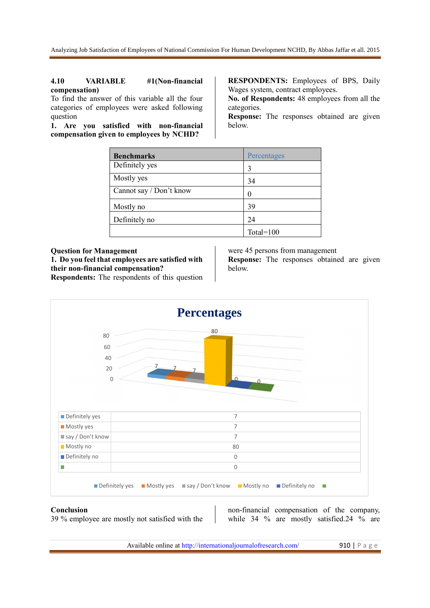#### **4.10 VARIABLE #1(Non-financial compensation)**

To find the answer of this variable all the four categories of employees were asked following question

**1. Are you satisfied with non-financial compensation given to employees by NCHD?**

**RESPONDENTS:** Employees of BPS, Daily Wages system, contract employees.

**No. of Respondents:** 48 employees from all the categories.

**Response:** The responses obtained are given below.

| <b>Benchmarks</b>       | Percentages  |
|-------------------------|--------------|
| Definitely yes          | 3            |
| Mostly yes              | 34           |
| Cannot say / Don't know | 0            |
| Mostly no               | 39           |
| Definitely no           | 24           |
|                         | Total= $100$ |

**Question for Management 1. Do you feel that employees are satisfied with their non-financial compensation?**

**Respondents:** The respondents of this question

were 45 persons from management **Response:** The responses obtained are given below.



#### **Conclusion**

39 % employee are mostly not satisfied with the

non-financial compensation of the company, while 34 % are mostly satisfied.24 % are

Available online at http://internationaljournalofresearch.com/ 910 | P a g e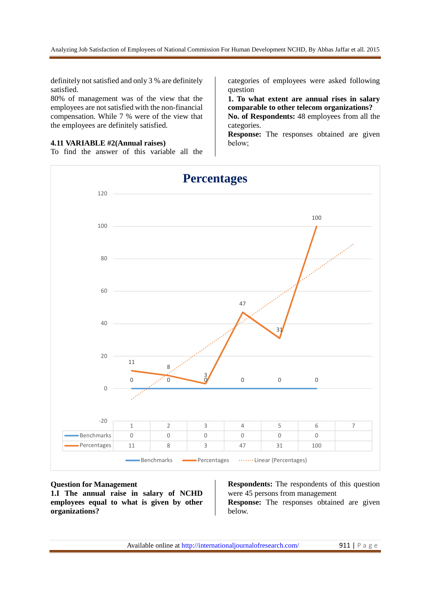definitely not satisfied and only 3 % are definitely satisfied.

80% of management was of the view that the employees are not satisfied with the non-financial compensation. While 7 % were of the view that the employees are definitely satisfied.

#### **4.11 VARIABLE #2(Annual raises)**

To find the answer of this variable all the

categories of employees were asked following question

**1. To what extent are annual rises in salary comparable to other telecom organizations?** 

**No. of Respondents:** 48 employees from all the categories.

**Response:** The responses obtained are given below;



#### **Question for Management**

**1.I The annual raise in salary of NCHD employees equal to what is given by other organizations?** 

**Respondents:** The respondents of this question were 45 persons from management **Response:** The responses obtained are given below.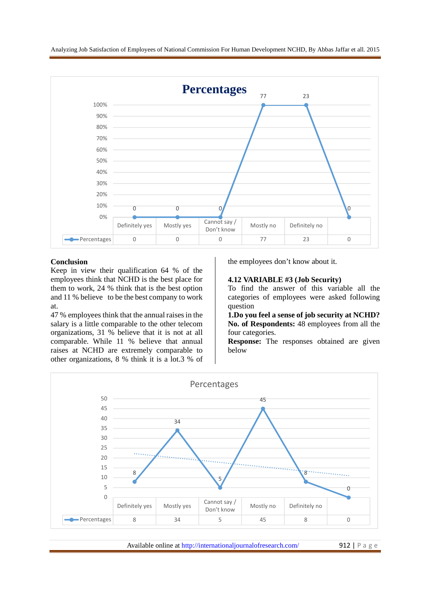

## **Conclusion**

Keep in view their qualification 64 % of the employees think that NCHD is the best place for them to work, 24 % think that is the best option and 11 % believe to be the best company to work at.

47 % employees think that the annual raises in the salary is a little comparable to the other telecom organizations, 31 % believe that it is not at all comparable. While 11 % believe that annual raises at NCHD are extremely comparable to other organizations, 8 % think it is a lot.3 % of the employees don't know about it.

#### **4.12 VARIABLE #3 (Job Security)**

To find the answer of this variable all the categories of employees were asked following question

**1.Do you feel a sense of job security at NCHD? No. of Respondents:** 48 employees from all the four categories.

**Response:** The responses obtained are given below



Available online at http://internationaljournalofresearch.com/ 912 | P a g e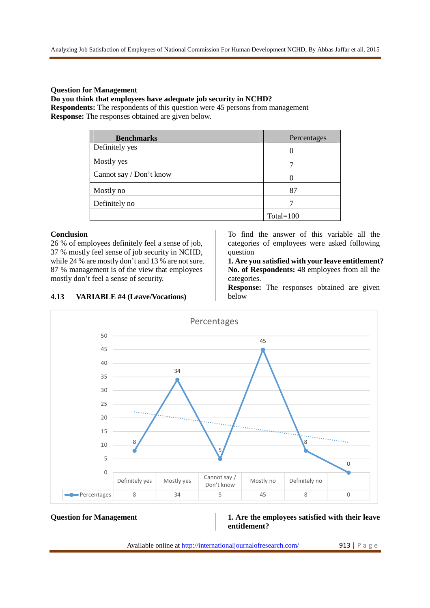## **Question for Management**

## **Do you think that employees have adequate job security in NCHD?**

**Respondents:** The respondents of this question were 45 persons from management **Response:** The responses obtained are given below.

| <b>Benchmarks</b>       | Percentages  |
|-------------------------|--------------|
| Definitely yes          | 0            |
| Mostly yes              |              |
| Cannot say / Don't know |              |
| Mostly no               | 87           |
| Definitely no           |              |
|                         | Total= $100$ |

## **Conclusion**

26 % of employees definitely feel a sense of job, 37 % mostly feel sense of job security in NCHD, while 24 % are mostly don't and 13 % are not sure. 87 % management is of the view that employees mostly don't feel a sense of security.

**4.13 VARIABLE #4 (Leave/Vocations)**

To find the answer of this variable all the categories of employees were asked following question

**1. Are you satisfied with your leave entitlement? No. of Respondents:** 48 employees from all the categories.

**Response:** The responses obtained are given below



## **Question for Management 1. Are the employees satisfied with their leave entitlement?**

Available online at http://internationaljournalofresearch.com/ 913 | P a g e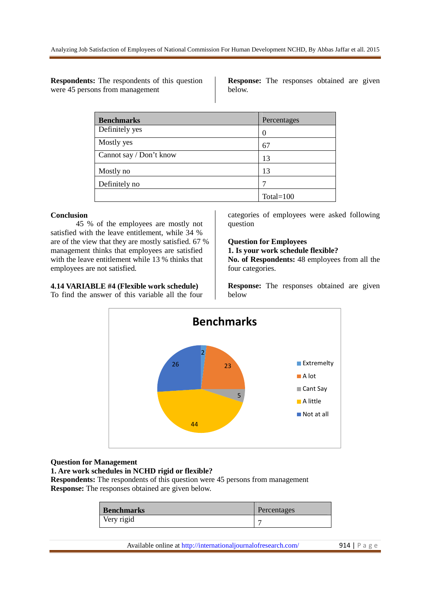**Respondents:** The respondents of this question were 45 persons from management

**Response:** The responses obtained are given below.

| <b>Benchmarks</b>       | Percentages  |
|-------------------------|--------------|
| Definitely yes          |              |
| Mostly yes              | 67           |
| Cannot say / Don't know | 13           |
| Mostly no               | 13           |
| Definitely no           |              |
|                         | Total= $100$ |

#### **Conclusion**

45 % of the employees are mostly not satisfied with the leave entitlement, while 34 % are of the view that they are mostly satisfied. 67 % management thinks that employees are satisfied with the leave entitlement while 13 % thinks that employees are not satisfied.

## **4.14 VARIABLE #4 (Flexible work schedule)**

To find the answer of this variable all the four

categories of employees were asked following question

## **Question for Employees**

**1. Is your work schedule flexible?** 

**No. of Respondents:** 48 employees from all the four categories.

**Response:** The responses obtained are given below



#### **Question for Management**

**1. Are work schedules in NCHD rigid or flexible?** 

**Respondents:** The respondents of this question were 45 persons from management **Response:** The responses obtained are given below.

| <b>Benchmarks</b> | Percentages |
|-------------------|-------------|
| Very rigid        |             |

Available online at http://internationaljournalofresearch.com/ 914 | P a g e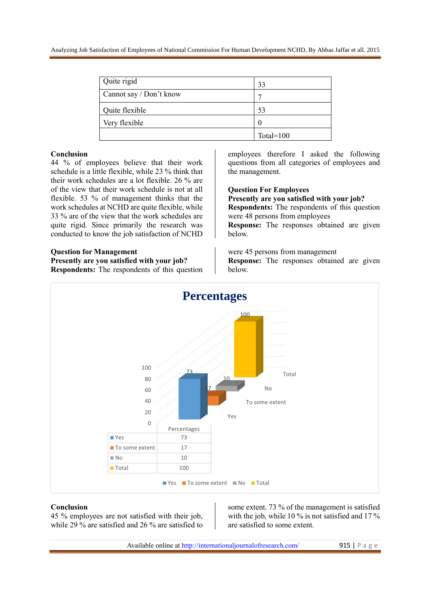| Quite rigid             | 33           |
|-------------------------|--------------|
| Cannot say / Don't know |              |
| Quite flexible          | 53           |
| Very flexible           | $\mathbf{0}$ |
|                         | Total= $100$ |

#### **Conclusion**

44 % of employees believe that their work schedule is a little flexible, while 23 % think that their work schedules are a lot flexible. 26 % are of the view that their work schedule is not at all flexible. 53 % of management thinks that the work schedules at NCHD are quite flexible, while 33 % are of the view that the work schedules are quite rigid. Since primarily the research was conducted to know the job satisfaction of NCHD

#### **Question for Management**

**Presently are you satisfied with your job?**

**Respondents:** The respondents of this question

employees therefore I asked the following questions from all categories of employees and the management.

**Question For Employees**

**Presently are you satisfied with your job?**

**Respondents:** The respondents of this question were 48 persons from employees

**Response:** The responses obtained are given below.

were 45 persons from management **Response:** The responses obtained are given below.



#### **Conclusion**

45 % employees are not satisfied with their job, while 29 % are satisfied and 26 % are satisfied to some extent. 73 % of the management is satisfied with the job, while 10 % is not satisfied and 17 % are satisfied to some extent.

Available online at http://internationaljournalofresearch.com/ 915 | P a g e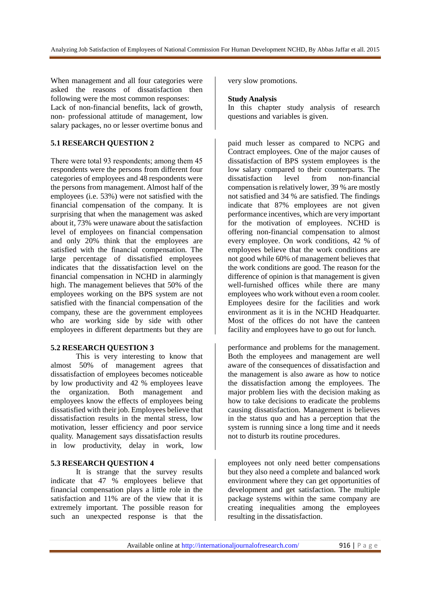When management and all four categories were asked the reasons of dissatisfaction then following were the most common responses: Lack of non-financial benefits, lack of growth, non- professional attitude of management, low

salary packages, no or lesser overtime bonus and

## **5.1 RESEARCH QUESTION 2**

There were total 93 respondents; among them 45 respondents were the persons from different four categories of employees and 48 respondents were the persons from management. Almost half of the employees (i.e. 53%) were not satisfied with the financial compensation of the company. It is surprising that when the management was asked about it, 73% were unaware about the satisfaction level of employees on financial compensation and only 20% think that the employees are satisfied with the financial compensation. The large percentage of dissatisfied employees indicates that the dissatisfaction level on the financial compensation in NCHD in alarmingly high. The management believes that 50% of the employees working on the BPS system are not satisfied with the financial compensation of the company, these are the government employees who are working side by side with other employees in different departments but they are

## **5.2 RESEARCH QUESTION 3**

This is very interesting to know that almost 50% of management agrees that dissatisfaction of employees becomes noticeable by low productivity and 42 % employees leave the organization. Both management and employees know the effects of employees being dissatisfied with their job. Employees believe that dissatisfaction results in the mental stress, low motivation, lesser efficiency and poor service quality. Management says dissatisfaction results in low productivity, delay in work, low

## **5.3 RESEARCH QUESTION 4**

It is strange that the survey results indicate that 47 % employees believe that financial compensation plays a little role in the satisfaction and 11% are of the view that it is extremely important. The possible reason for such an unexpected response is that the

very slow promotions.

#### **Study Analysis**

In this chapter study analysis of research questions and variables is given.

paid much lesser as compared to NCPG and Contract employees. One of the major causes of dissatisfaction of BPS system employees is the low salary compared to their counterparts. The dissatisfaction level from non-financial compensation is relatively lower, 39 % are mostly not satisfied and 34 % are satisfied. The findings indicate that 87% employees are not given performance incentives, which are very important for the motivation of employees. NCHD is offering non-financial compensation to almost every employee. On work conditions, 42 % of employees believe that the work conditions are not good while 60% of management believes that the work conditions are good. The reason for the difference of opinion is that management is given well-furnished offices while there are many employees who work without even a room cooler. Employees desire for the facilities and work environment as it is in the NCHD Headquarter. Most of the offices do not have the canteen facility and employees have to go out for lunch.

performance and problems for the management. Both the employees and management are well aware of the consequences of dissatisfaction and the management is also aware as how to notice the dissatisfaction among the employees. The major problem lies with the decision making as how to take decisions to eradicate the problems causing dissatisfaction. Management is believes in the status quo and has a perception that the system is running since a long time and it needs not to disturb its routine procedures.

employees not only need better compensations but they also need a complete and balanced work environment where they can get opportunities of development and get satisfaction. The multiple package systems within the same company are creating inequalities among the employees resulting in the dissatisfaction.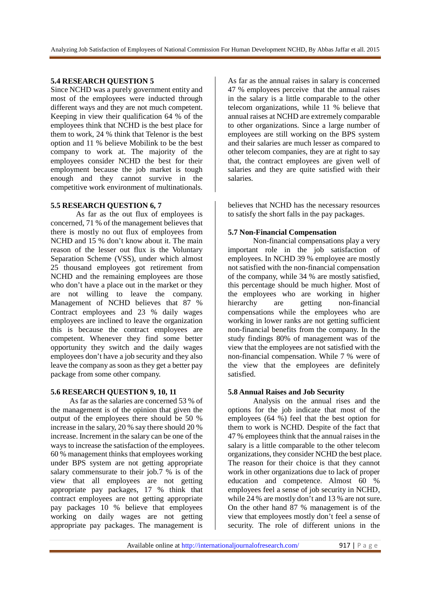## **5.4 RESEARCH QUESTION 5**

Since NCHD was a purely government entity and most of the employees were inducted through different ways and they are not much competent. Keeping in view their qualification 64 % of the employees think that NCHD is the best place for them to work, 24 % think that Telenor is the best option and 11 % believe Mobilink to be the best company to work at. The majority of the employees consider NCHD the best for their employment because the job market is tough enough and they cannot survive in the competitive work environment of multinationals.

## **5.5 RESEARCH QUESTION 6, 7**

As far as the out flux of employees is concerned, 71 % of the management believes that there is mostly no out flux of employees from NCHD and 15 % don't know about it. The main reason of the lesser out flux is the Voluntary Separation Scheme (VSS), under which almost 25 thousand employees got retirement from NCHD and the remaining employees are those who don't have a place out in the market or they are not willing to leave the company. Management of NCHD believes that 87 % Contract employees and 23 % daily wages employees are inclined to leave the organization this is because the contract employees are competent. Whenever they find some better opportunity they switch and the daily wages employees don't have a job security and they also leave the company as soon as they get a better pay package from some other company.

## **5.6 RESEARCH QUESTION 9, 10, 11**

 As far as the salaries are concerned 53 % of the management is of the opinion that given the output of the employees there should be 50 % increase in the salary, 20 % say there should 20 % increase. Increment in the salary can be one of the ways to increase the satisfaction of the employees. 60 % management thinks that employees working under BPS system are not getting appropriate salary commensurate to their job.7 % is of the view that all employees are not getting appropriate pay packages, 17 % think that contract employees are not getting appropriate pay packages 10 % believe that employees working on daily wages are not getting appropriate pay packages. The management is

As far as the annual raises in salary is concerned 47 % employees perceive that the annual raises in the salary is a little comparable to the other telecom organizations, while 11 % believe that annual raises at NCHD are extremely comparable to other organizations. Since a large number of employees are still working on the BPS system and their salaries are much lesser as compared to other telecom companies, they are at right to say that, the contract employees are given well of salaries and they are quite satisfied with their salaries.

believes that NCHD has the necessary resources to satisfy the short falls in the pay packages.

## **5.7 Non-Financial Compensation**

Non-financial compensations play a very important role in the job satisfaction of employees. In NCHD 39 % employee are mostly not satisfied with the non-financial compensation of the company, while 34 % are mostly satisfied, this percentage should be much higher. Most of the employees who are working in higher<br>hierarchy are getting non-financial hierarchy are getting non-financial compensations while the employees who are working in lower ranks are not getting sufficient non-financial benefits from the company. In the study findings 80% of management was of the view that the employees are not satisfied with the non-financial compensation. While 7 % were of the view that the employees are definitely satisfied.

#### **5.8 Annual Raises and Job Security**

Analysis on the annual rises and the options for the job indicate that most of the employees (64 %) feel that the best option for them to work is NCHD. Despite of the fact that 47 % employees think that the annual raises in the salary is a little comparable to the other telecom organizations, they consider NCHD the best place. The reason for their choice is that they cannot work in other organizations due to lack of proper education and competence. Almost 60 % employees feel a sense of job security in NCHD, while 24 % are mostly don't and 13 % are not sure. On the other hand 87 % management is of the view that employees mostly don't feel a sense of security. The role of different unions in the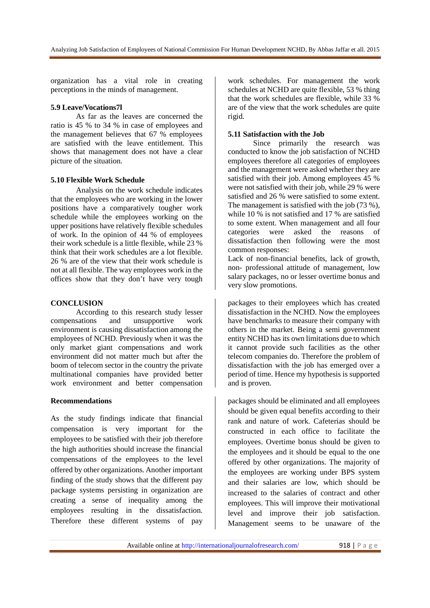organization has a vital role in creating perceptions in the minds of management.

## **5.9 Leave/Vocations7l**

As far as the leaves are concerned the ratio is 45 % to 34 % in case of employees and the management believes that 67 % employees are satisfied with the leave entitlement. This shows that management does not have a clear picture of the situation.

## **5.10 Flexible Work Schedule**

Analysis on the work schedule indicates that the employees who are working in the lower positions have a comparatively tougher work schedule while the employees working on the upper positions have relatively flexible schedules of work. In the opinion of 44 % of employees their work schedule is a little flexible, while 23 % think that their work schedules are a lot flexible. 26 % are of the view that their work schedule is not at all flexible. The way employees work in the offices show that they don't have very tough

## **CONCLUSION**

According to this research study lesser<br>sations and unsupportive work compensations and unsupportive work environment is causing dissatisfaction among the employees of NCHD. Previously when it was the only market giant compensations and work environment did not matter much but after the boom of telecom sector in the country the private multinational companies have provided better work environment and better compensation

## **Recommendations**

As the study findings indicate that financial compensation is very important for the employees to be satisfied with their job therefore the high authorities should increase the financial compensations of the employees to the level offered by other organizations. Another important finding of the study shows that the different pay package systems persisting in organization are creating a sense of inequality among the employees resulting in the dissatisfaction. Therefore these different systems of pay

work schedules. For management the work schedules at NCHD are quite flexible, 53 % thing that the work schedules are flexible, while 33 % are of the view that the work schedules are quite rigid.

## **5.11 Satisfaction with the Job**

Since primarily the research was conducted to know the job satisfaction of NCHD employees therefore all categories of employees and the management were asked whether they are satisfied with their job. Among employees 45 % were not satisfied with their job, while 29 % were satisfied and 26 % were satisfied to some extent. The management is satisfied with the job (73 %). while 10 % is not satisfied and 17 % are satisfied to some extent. When management and all four categories were asked the reasons of dissatisfaction then following were the most common responses:

Lack of non-financial benefits, lack of growth, non- professional attitude of management, low salary packages, no or lesser overtime bonus and very slow promotions.

packages to their employees which has created dissatisfaction in the NCHD. Now the employees have benchmarks to measure their company with others in the market. Being a semi government entity NCHD has its own limitations due to which it cannot provide such facilities as the other telecom companies do. Therefore the problem of dissatisfaction with the job has emerged over a period of time. Hence my hypothesis is supported and is proven.

packages should be eliminated and all employees should be given equal benefits according to their rank and nature of work. Cafeterias should be constructed in each office to facilitate the employees. Overtime bonus should be given to the employees and it should be equal to the one offered by other organizations. The majority of the employees are working under BPS system and their salaries are low, which should be increased to the salaries of contract and other employees. This will improve their motivational level and improve their job satisfaction. Management seems to be unaware of the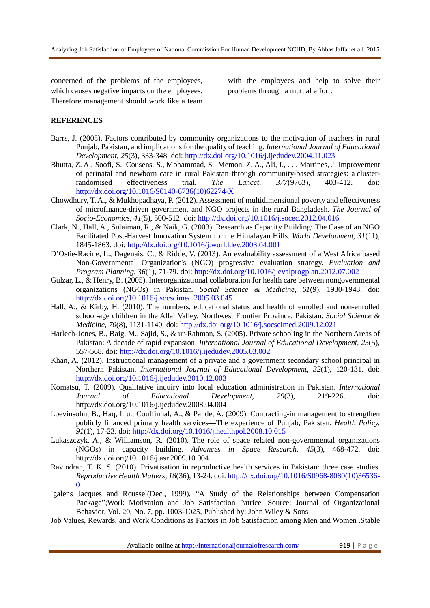concerned of the problems of the employees, which causes negative impacts on the employees. Therefore management should work like a team with the employees and help to solve their problems through a mutual effort.

## **REFERENCES**

- Barrs, J. (2005). Factors contributed by community organizations to the motivation of teachers in rural Punjab, Pakistan, and implications for the quality of teaching. *International Journal of Educational Development, 25*(3), 333-348. doi: http://dx.doi.org/10.1016/j.ijedudev.2004.11.023
- Bhutta, Z. A., Soofi, S., Cousens, S., Mohammad, S., Memon, Z. A., Ali, I., . . . Martines, J. Improvement of perinatal and newborn care in rural Pakistan through community-based strategies: a clusterrandomised effectiveness trial. *The Lancet, 377*(9763), 403-412. doi: http://dx.doi.org/10.1016/S0140-6736(10)62274-X
- Chowdhury, T. A., & Mukhopadhaya, P. (2012). Assessment of multidimensional poverty and effectiveness of microfinance-driven government and NGO projects in the rural Bangladesh. *The Journal of Socio-Economics, 41*(5), 500-512. doi: http://dx.doi.org/10.1016/j.socec.2012.04.016
- Clark, N., Hall, A., Sulaiman, R., & Naik, G. (2003). Research as Capacity Building: The Case of an NGO Facilitated Post-Harvest Innovation System for the Himalayan Hills. *World Development, 31*(11), 1845-1863. doi: http://dx.doi.org/10.1016/j.worlddev.2003.04.001
- D'Ostie-Racine, L., Dagenais, C., & Ridde, V. (2013). An evaluability assessment of a West Africa based Non-Governmental Organization's (NGO) progressive evaluation strategy. *Evaluation and Program Planning, 36*(1), 71-79. doi: http://dx.doi.org/10.1016/j.evalprogplan.2012.07.002
- Gulzar, L., & Henry, B. (2005). Interorganizational collaboration for health care between nongovernmental organizations (NGOs) in Pakistan. *Social Science & Medicine, 61*(9), 1930-1943. doi: http://dx.doi.org/10.1016/j.socscimed.2005.03.045
- Hall, A., & Kirby, H. (2010). The numbers, educational status and health of enrolled and non-enrolled school-age children in the Allai Valley, Northwest Frontier Province, Pakistan. *Social Science & Medicine, 70*(8), 1131-1140. doi: http://dx.doi.org/10.1016/j.socscimed.2009.12.021
- Harlech-Jones, B., Baig, M., Sajid, S., & ur-Rahman, S. (2005). Private schooling in the Northern Areas of Pakistan: A decade of rapid expansion. *International Journal of Educational Development, 25*(5), 557-568. doi: http://dx.doi.org/10.1016/j.ijedudev.2005.03.002
- Khan, A. (2012). Instructional management of a private and a government secondary school principal in Northern Pakistan. *International Journal of Educational Development, 32*(1), 120-131. doi: http://dx.doi.org/10.1016/j.ijedudev.2010.12.003
- Komatsu, T. (2009). Qualitative inquiry into local education administration in Pakistan. *International Journal of Educational Development, 29*(3), 219-226. doi: http://dx.doi.org/10.1016/j.ijedudev.2008.04.004
- Loevinsohn, B., Haq, I. u., Couffinhal, A., & Pande, A. (2009). Contracting-in management to strengthen publicly financed primary health services—The experience of Punjab, Pakistan. *Health Policy, 91*(1), 17-23. doi: http://dx.doi.org/10.1016/j.healthpol.2008.10.015
- Lukaszczyk, A., & Williamson, R. (2010). The role of space related non-governmental organizations (NGOs) in capacity building. *Advances in Space Research, 45*(3), 468-472. doi: http://dx.doi.org/10.1016/j.asr.2009.10.004
- Ravindran, T. K. S. (2010). Privatisation in reproductive health services in Pakistan: three case studies. *Reproductive Health Matters, 18*(36), 13-24. doi: http://dx.doi.org/10.1016/S0968-8080(10)36536-  $\boldsymbol{0}$
- Igalens Jacques and Roussel(Dec., 1999), "A Study of the Relationships between Compensation Package";Work Motivation and Job Satisfaction Patrice, Source: Journal of Organizational Behavior, Vol. 20, No. 7, pp. 1003-1025, Published by: John Wiley & Sons
- Job Values, Rewards, and Work Conditions as Factors in Job Satisfaction among Men and Women .Stable